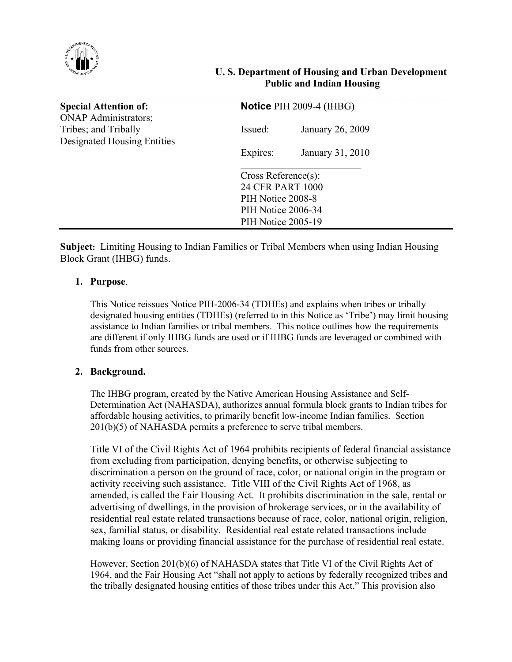

# **U. S. Department of Housing and Urban Development Public and Indian Housing**

| <b>Special Attention of:</b> | Notice PIH 2009-4 (IHBG) |                  |
|------------------------------|--------------------------|------------------|
| <b>ONAP Administrators;</b>  |                          |                  |
| Tribes; and Tribally         | Issued:                  | January 26, 2009 |
| Designated Housing Entities  |                          |                  |
|                              | Expires:                 | January 31, 2010 |
|                              |                          |                  |
|                              | Cross Reference(s):      |                  |
|                              | 24 CFR PART 1000         |                  |
|                              | PIH Notice 2008-8        |                  |
|                              | PIH Notice 2006-34       |                  |
|                              | PIH Notice 2005-19       |                  |

**Subject:** Limiting Housing to Indian Families or Tribal Members when using Indian Housing Block Grant (IHBG) funds.

# **1. Purpose**.

 This Notice reissues Notice PIH-2006-34 (TDHEs) and explains when tribes or tribally designated housing entities (TDHEs) (referred to in this Notice as 'Tribe') may limit housing assistance to Indian families or tribal members. This notice outlines how the requirements are different if only IHBG funds are used or if IHBG funds are leveraged or combined with funds from other sources.

## **2. Background.**

The IHBG program, created by the Native American Housing Assistance and Self-Determination Act (NAHASDA), authorizes annual formula block grants to Indian tribes for affordable housing activities, to primarily benefit low-income Indian families. Section 201(b)(5) of NAHASDA permits a preference to serve tribal members.

Title VI of the Civil Rights Act of 1964 prohibits recipients of federal financial assistance from excluding from participation, denying benefits, or otherwise subjecting to discrimination a person on the ground of race, color, or national origin in the program or activity receiving such assistance. Title VIII of the Civil Rights Act of 1968, as amended, is called the Fair Housing Act. It prohibits discrimination in the sale, rental or advertising of dwellings, in the provision of brokerage services, or in the availability of residential real estate related transactions because of race, color, national origin, religion, sex, familial status, or disability. Residential real estate related transactions include making loans or providing financial assistance for the purchase of residential real estate.

However, Section 201(b)(6) of NAHASDA states that Title VI of the Civil Rights Act of 1964, and the Fair Housing Act "shall not apply to actions by federally recognized tribes and the tribally designated housing entities of those tribes under this Act." This provision also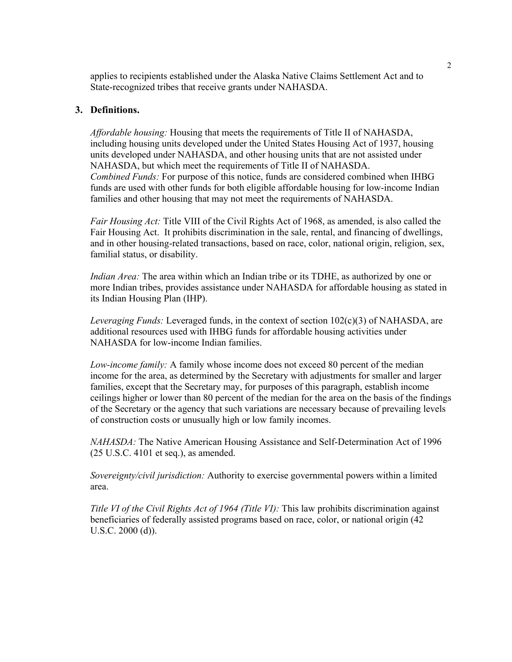applies to recipients established under the Alaska Native Claims Settlement Act and to State-recognized tribes that receive grants under NAHASDA.

### **3. Definitions.**

*Affordable housing:* Housing that meets the requirements of Title II of NAHASDA, including housing units developed under the United States Housing Act of 1937, housing units developed under NAHASDA, and other housing units that are not assisted under NAHASDA, but which meet the requirements of Title II of NAHASDA. *Combined Funds:* For purpose of this notice, funds are considered combined when IHBG funds are used with other funds for both eligible affordable housing for low-income Indian families and other housing that may not meet the requirements of NAHASDA.

*Fair Housing Act:* Title VIII of the Civil Rights Act of 1968, as amended, is also called the Fair Housing Act. It prohibits discrimination in the sale, rental, and financing of dwellings, and in other housing-related transactions, based on race, color, national origin, religion, sex, familial status, or disability.

*Indian Area:* The area within which an Indian tribe or its TDHE, as authorized by one or more Indian tribes, provides assistance under NAHASDA for affordable housing as stated in its Indian Housing Plan (IHP).

*Leveraging Funds:* Leveraged funds, in the context of section 102(c)(3) of NAHASDA, are additional resources used with IHBG funds for affordable housing activities under NAHASDA for low-income Indian families.

*Low-income family:* A family whose income does not exceed 80 percent of the median income for the area, as determined by the Secretary with adjustments for smaller and larger families, except that the Secretary may, for purposes of this paragraph, establish income ceilings higher or lower than 80 percent of the median for the area on the basis of the findings of the Secretary or the agency that such variations are necessary because of prevailing levels of construction costs or unusually high or low family incomes.

*NAHASDA:* The Native American Housing Assistance and Self-Determination Act of 1996 (25 U.S.C. 4101 et seq.), as amended.

*Sovereignty/civil jurisdiction:* Authority to exercise governmental powers within a limited area.

*Title VI of the Civil Rights Act of 1964 (Title VI):* This law prohibits discrimination against beneficiaries of federally assisted programs based on race, color, or national origin (42 U.S.C. 2000 (d)).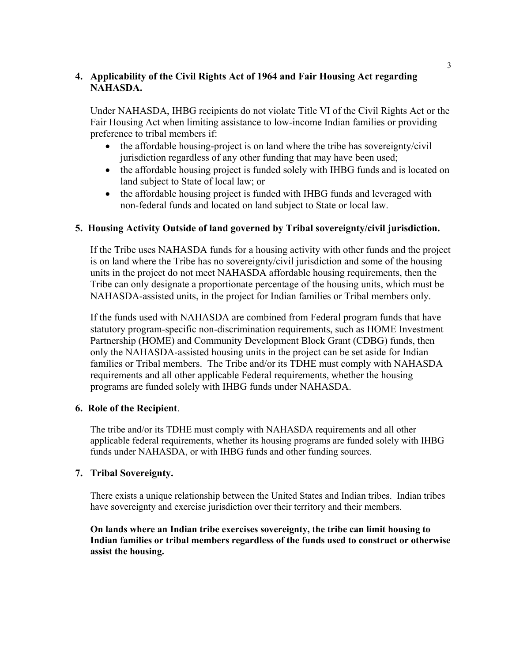# **4. Applicability of the Civil Rights Act of 1964 and Fair Housing Act regarding NAHASDA.**

Under NAHASDA, IHBG recipients do not violate Title VI of the Civil Rights Act or the Fair Housing Act when limiting assistance to low-income Indian families or providing preference to tribal members if:

- the affordable housing-project is on land where the tribe has sovereignty/civil jurisdiction regardless of any other funding that may have been used;
- the affordable housing project is funded solely with IHBG funds and is located on land subject to State of local law; or
- the affordable housing project is funded with IHBG funds and leveraged with non-federal funds and located on land subject to State or local law.

## **5. Housing Activity Outside of land governed by Tribal sovereignty/civil jurisdiction.**

 If the Tribe uses NAHASDA funds for a housing activity with other funds and the project is on land where the Tribe has no sovereignty/civil jurisdiction and some of the housing units in the project do not meet NAHASDA affordable housing requirements, then the Tribe can only designate a proportionate percentage of the housing units, which must be NAHASDA-assisted units, in the project for Indian families or Tribal members only.

 If the funds used with NAHASDA are combined from Federal program funds that have statutory program-specific non-discrimination requirements, such as HOME Investment Partnership (HOME) and Community Development Block Grant (CDBG) funds, then only the NAHASDA-assisted housing units in the project can be set aside for Indian families or Tribal members. The Tribe and/or its TDHE must comply with NAHASDA requirements and all other applicable Federal requirements, whether the housing programs are funded solely with IHBG funds under NAHASDA.

## **6. Role of the Recipient**.

The tribe and/or its TDHE must comply with NAHASDA requirements and all other applicable federal requirements, whether its housing programs are funded solely with IHBG funds under NAHASDA, or with IHBG funds and other funding sources.

## **7. Tribal Sovereignty.**

There exists a unique relationship between the United States and Indian tribes. Indian tribes have sovereignty and exercise jurisdiction over their territory and their members.

**On lands where an Indian tribe exercises sovereignty, the tribe can limit housing to Indian families or tribal members regardless of the funds used to construct or otherwise assist the housing.**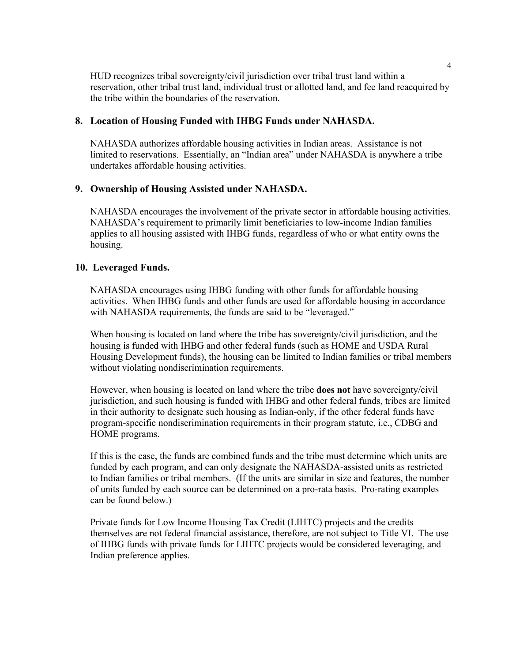HUD recognizes tribal sovereignty/civil jurisdiction over tribal trust land within a reservation, other tribal trust land, individual trust or allotted land, and fee land reacquired by the tribe within the boundaries of the reservation.

### **8. Location of Housing Funded with IHBG Funds under NAHASDA.**

NAHASDA authorizes affordable housing activities in Indian areas. Assistance is not limited to reservations. Essentially, an "Indian area" under NAHASDA is anywhere a tribe undertakes affordable housing activities.

### **9. Ownership of Housing Assisted under NAHASDA.**

NAHASDA encourages the involvement of the private sector in affordable housing activities. NAHASDA's requirement to primarily limit beneficiaries to low-income Indian families applies to all housing assisted with IHBG funds, regardless of who or what entity owns the housing.

#### **10. Leveraged Funds.**

NAHASDA encourages using IHBG funding with other funds for affordable housing activities. When IHBG funds and other funds are used for affordable housing in accordance with NAHASDA requirements, the funds are said to be "leveraged."

When housing is located on land where the tribe has sovereignty/civil jurisdiction, and the housing is funded with IHBG and other federal funds (such as HOME and USDA Rural Housing Development funds), the housing can be limited to Indian families or tribal members without violating nondiscrimination requirements.

However, when housing is located on land where the tribe **does not** have sovereignty/civil jurisdiction, and such housing is funded with IHBG and other federal funds, tribes are limited in their authority to designate such housing as Indian-only, if the other federal funds have program-specific nondiscrimination requirements in their program statute, i.e., CDBG and HOME programs.

If this is the case, the funds are combined funds and the tribe must determine which units are funded by each program, and can only designate the NAHASDA-assisted units as restricted to Indian families or tribal members. (If the units are similar in size and features, the number of units funded by each source can be determined on a pro-rata basis. Pro-rating examples can be found below.)

Private funds for Low Income Housing Tax Credit (LIHTC) projects and the credits themselves are not federal financial assistance, therefore, are not subject to Title VI. The use of IHBG funds with private funds for LIHTC projects would be considered leveraging, and Indian preference applies.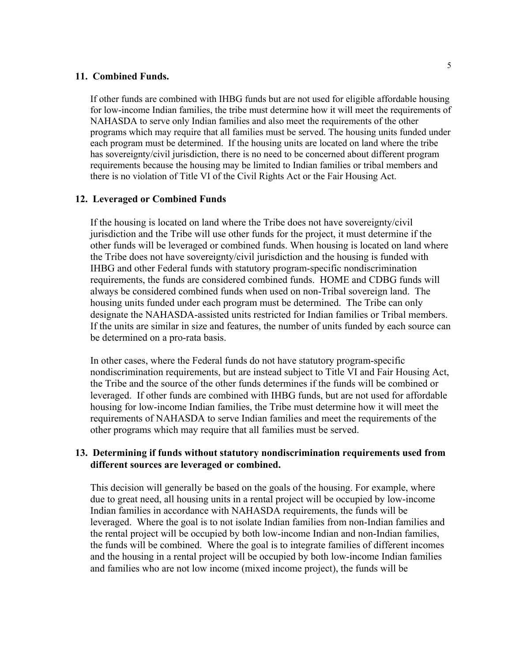#### **11. Combined Funds.**

If other funds are combined with IHBG funds but are not used for eligible affordable housing for low-income Indian families, the tribe must determine how it will meet the requirements of NAHASDA to serve only Indian families and also meet the requirements of the other programs which may require that all families must be served. The housing units funded under each program must be determined. If the housing units are located on land where the tribe has sovereignty/civil jurisdiction, there is no need to be concerned about different program requirements because the housing may be limited to Indian families or tribal members and there is no violation of Title VI of the Civil Rights Act or the Fair Housing Act.

#### **12. Leveraged or Combined Funds**

If the housing is located on land where the Tribe does not have sovereignty/civil jurisdiction and the Tribe will use other funds for the project, it must determine if the other funds will be leveraged or combined funds. When housing is located on land where the Tribe does not have sovereignty/civil jurisdiction and the housing is funded with IHBG and other Federal funds with statutory program-specific nondiscrimination requirements, the funds are considered combined funds. HOME and CDBG funds will always be considered combined funds when used on non-Tribal sovereign land. The housing units funded under each program must be determined. The Tribe can only designate the NAHASDA-assisted units restricted for Indian families or Tribal members. If the units are similar in size and features, the number of units funded by each source can be determined on a pro-rata basis.

In other cases, where the Federal funds do not have statutory program-specific nondiscrimination requirements, but are instead subject to Title VI and Fair Housing Act, the Tribe and the source of the other funds determines if the funds will be combined or leveraged. If other funds are combined with IHBG funds, but are not used for affordable housing for low-income Indian families, the Tribe must determine how it will meet the requirements of NAHASDA to serve Indian families and meet the requirements of the other programs which may require that all families must be served.

### **13. Determining if funds without statutory nondiscrimination requirements used from different sources are leveraged or combined.**

This decision will generally be based on the goals of the housing. For example, where due to great need, all housing units in a rental project will be occupied by low-income Indian families in accordance with NAHASDA requirements, the funds will be leveraged. Where the goal is to not isolate Indian families from non-Indian families and the rental project will be occupied by both low-income Indian and non-Indian families, the funds will be combined. Where the goal is to integrate families of different incomes and the housing in a rental project will be occupied by both low-income Indian families and families who are not low income (mixed income project), the funds will be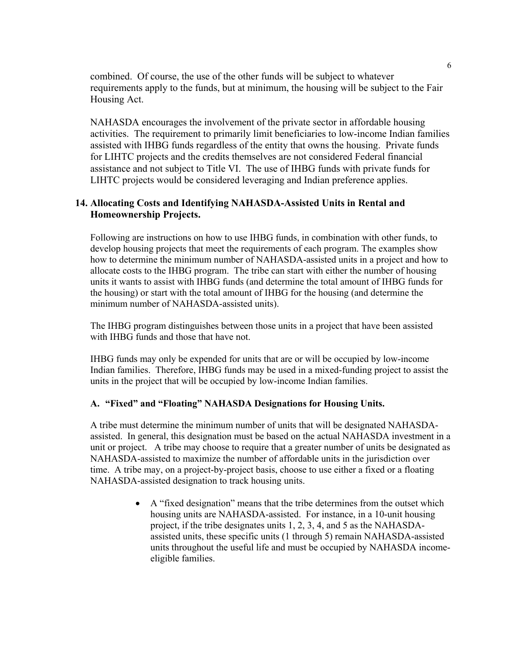combined. Of course, the use of the other funds will be subject to whatever requirements apply to the funds, but at minimum, the housing will be subject to the Fair Housing Act.

NAHASDA encourages the involvement of the private sector in affordable housing activities. The requirement to primarily limit beneficiaries to low-income Indian families assisted with IHBG funds regardless of the entity that owns the housing. Private funds for LIHTC projects and the credits themselves are not considered Federal financial assistance and not subject to Title VI. The use of IHBG funds with private funds for LIHTC projects would be considered leveraging and Indian preference applies.

# **14. Allocating Costs and Identifying NAHASDA-Assisted Units in Rental and Homeownership Projects.**

Following are instructions on how to use IHBG funds, in combination with other funds, to develop housing projects that meet the requirements of each program. The examples show how to determine the minimum number of NAHASDA-assisted units in a project and how to allocate costs to the IHBG program. The tribe can start with either the number of housing units it wants to assist with IHBG funds (and determine the total amount of IHBG funds for the housing) or start with the total amount of IHBG for the housing (and determine the minimum number of NAHASDA-assisted units).

The IHBG program distinguishes between those units in a project that have been assisted with IHBG funds and those that have not.

IHBG funds may only be expended for units that are or will be occupied by low-income Indian families. Therefore, IHBG funds may be used in a mixed-funding project to assist the units in the project that will be occupied by low-income Indian families.

## **A. "Fixed" and "Floating" NAHASDA Designations for Housing Units.**

A tribe must determine the minimum number of units that will be designated NAHASDAassisted. In general, this designation must be based on the actual NAHASDA investment in a unit or project. A tribe may choose to require that a greater number of units be designated as NAHASDA-assisted to maximize the number of affordable units in the jurisdiction over time. A tribe may, on a project-by-project basis, choose to use either a fixed or a floating NAHASDA-assisted designation to track housing units.

> • A "fixed designation" means that the tribe determines from the outset which housing units are NAHASDA-assisted. For instance, in a 10-unit housing project, if the tribe designates units 1, 2, 3, 4, and 5 as the NAHASDAassisted units, these specific units (1 through 5) remain NAHASDA-assisted units throughout the useful life and must be occupied by NAHASDA incomeeligible families.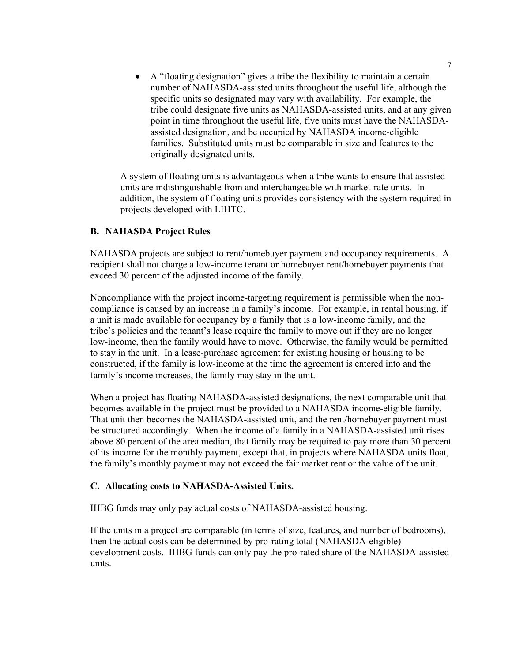• A "floating designation" gives a tribe the flexibility to maintain a certain number of NAHASDA-assisted units throughout the useful life, although the specific units so designated may vary with availability. For example, the tribe could designate five units as NAHASDA-assisted units, and at any given point in time throughout the useful life, five units must have the NAHASDAassisted designation, and be occupied by NAHASDA income-eligible families. Substituted units must be comparable in size and features to the originally designated units.

A system of floating units is advantageous when a tribe wants to ensure that assisted units are indistinguishable from and interchangeable with market-rate units. In addition, the system of floating units provides consistency with the system required in projects developed with LIHTC.

### **B. NAHASDA Project Rules**

NAHASDA projects are subject to rent/homebuyer payment and occupancy requirements. A recipient shall not charge a low-income tenant or homebuyer rent/homebuyer payments that exceed 30 percent of the adjusted income of the family.

Noncompliance with the project income-targeting requirement is permissible when the noncompliance is caused by an increase in a family's income. For example, in rental housing, if a unit is made available for occupancy by a family that is a low-income family, and the tribe's policies and the tenant's lease require the family to move out if they are no longer low-income, then the family would have to move. Otherwise, the family would be permitted to stay in the unit. In a lease-purchase agreement for existing housing or housing to be constructed, if the family is low-income at the time the agreement is entered into and the family's income increases, the family may stay in the unit.

When a project has floating NAHASDA-assisted designations, the next comparable unit that becomes available in the project must be provided to a NAHASDA income-eligible family. That unit then becomes the NAHASDA-assisted unit, and the rent/homebuyer payment must be structured accordingly. When the income of a family in a NAHASDA-assisted unit rises above 80 percent of the area median, that family may be required to pay more than 30 percent of its income for the monthly payment, except that, in projects where NAHASDA units float, the family's monthly payment may not exceed the fair market rent or the value of the unit.

#### **C. Allocating costs to NAHASDA-Assisted Units.**

IHBG funds may only pay actual costs of NAHASDA-assisted housing.

If the units in a project are comparable (in terms of size, features, and number of bedrooms), then the actual costs can be determined by pro-rating total (NAHASDA-eligible) development costs. IHBG funds can only pay the pro-rated share of the NAHASDA-assisted units.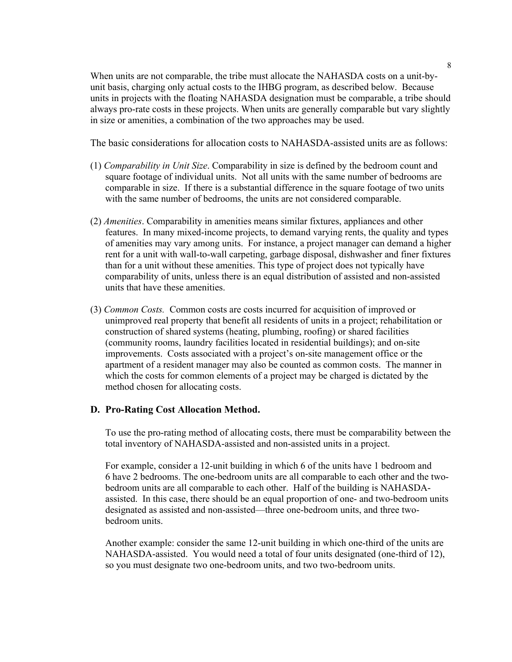When units are not comparable, the tribe must allocate the NAHASDA costs on a unit-byunit basis, charging only actual costs to the IHBG program, as described below. Because units in projects with the floating NAHASDA designation must be comparable, a tribe should always pro-rate costs in these projects. When units are generally comparable but vary slightly in size or amenities, a combination of the two approaches may be used.

The basic considerations for allocation costs to NAHASDA-assisted units are as follows:

- (1) *Comparability in Unit Size*. Comparability in size is defined by the bedroom count and square footage of individual units. Not all units with the same number of bedrooms are comparable in size. If there is a substantial difference in the square footage of two units with the same number of bedrooms, the units are not considered comparable.
- (2) *Amenities*. Comparability in amenities means similar fixtures, appliances and other features. In many mixed-income projects, to demand varying rents, the quality and types of amenities may vary among units. For instance, a project manager can demand a higher rent for a unit with wall-to-wall carpeting, garbage disposal, dishwasher and finer fixtures than for a unit without these amenities. This type of project does not typically have comparability of units, unless there is an equal distribution of assisted and non-assisted units that have these amenities.
- (3) *Common Costs.* Common costs are costs incurred for acquisition of improved or unimproved real property that benefit all residents of units in a project; rehabilitation or construction of shared systems (heating, plumbing, roofing) or shared facilities (community rooms, laundry facilities located in residential buildings); and on-site improvements. Costs associated with a project's on-site management office or the apartment of a resident manager may also be counted as common costs. The manner in which the costs for common elements of a project may be charged is dictated by the method chosen for allocating costs.

#### **D. Pro-Rating Cost Allocation Method.**

To use the pro-rating method of allocating costs, there must be comparability between the total inventory of NAHASDA-assisted and non-assisted units in a project.

For example, consider a 12-unit building in which 6 of the units have 1 bedroom and 6 have 2 bedrooms. The one-bedroom units are all comparable to each other and the twobedroom units are all comparable to each other. Half of the building is NAHASDAassisted. In this case, there should be an equal proportion of one- and two-bedroom units designated as assisted and non-assisted—three one-bedroom units, and three twobedroom units.

Another example: consider the same 12-unit building in which one-third of the units are NAHASDA-assisted. You would need a total of four units designated (one-third of 12), so you must designate two one-bedroom units, and two two-bedroom units.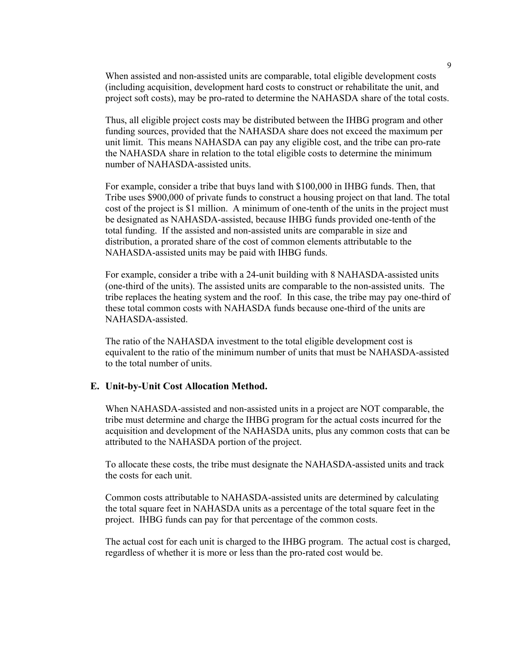When assisted and non-assisted units are comparable, total eligible development costs (including acquisition, development hard costs to construct or rehabilitate the unit, and project soft costs), may be pro-rated to determine the NAHASDA share of the total costs.

Thus, all eligible project costs may be distributed between the IHBG program and other funding sources, provided that the NAHASDA share does not exceed the maximum per unit limit. This means NAHASDA can pay any eligible cost, and the tribe can pro-rate the NAHASDA share in relation to the total eligible costs to determine the minimum number of NAHASDA-assisted units.

For example, consider a tribe that buys land with \$100,000 in IHBG funds. Then, that Tribe uses \$900,000 of private funds to construct a housing project on that land. The total cost of the project is \$1 million. A minimum of one-tenth of the units in the project must be designated as NAHASDA-assisted, because IHBG funds provided one-tenth of the total funding. If the assisted and non-assisted units are comparable in size and distribution, a prorated share of the cost of common elements attributable to the NAHASDA-assisted units may be paid with IHBG funds.

For example, consider a tribe with a 24-unit building with 8 NAHASDA-assisted units (one-third of the units). The assisted units are comparable to the non-assisted units. The tribe replaces the heating system and the roof. In this case, the tribe may pay one-third of these total common costs with NAHASDA funds because one-third of the units are NAHASDA-assisted.

The ratio of the NAHASDA investment to the total eligible development cost is equivalent to the ratio of the minimum number of units that must be NAHASDA-assisted to the total number of units.

#### **E. Unit-by-Unit Cost Allocation Method.**

When NAHASDA-assisted and non-assisted units in a project are NOT comparable, the tribe must determine and charge the IHBG program for the actual costs incurred for the acquisition and development of the NAHASDA units, plus any common costs that can be attributed to the NAHASDA portion of the project.

To allocate these costs, the tribe must designate the NAHASDA-assisted units and track the costs for each unit.

Common costs attributable to NAHASDA-assisted units are determined by calculating the total square feet in NAHASDA units as a percentage of the total square feet in the project. IHBG funds can pay for that percentage of the common costs.

The actual cost for each unit is charged to the IHBG program. The actual cost is charged, regardless of whether it is more or less than the pro-rated cost would be.